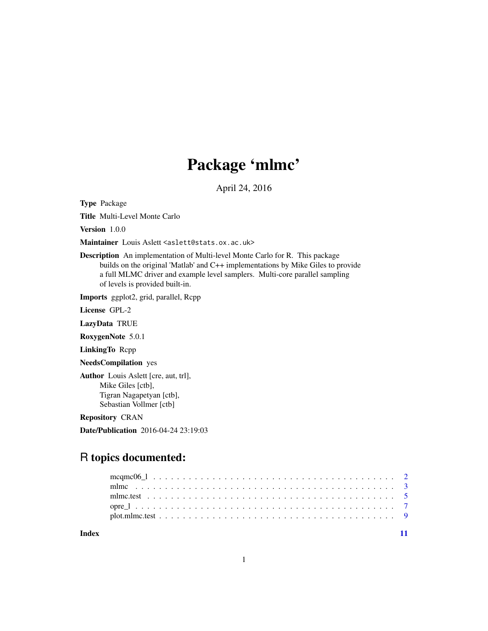## Package 'mlmc'

April 24, 2016

Type Package

Title Multi-Level Monte Carlo

Version 1.0.0

Maintainer Louis Aslett <aslett@stats.ox.ac.uk>

Description An implementation of Multi-level Monte Carlo for R. This package builds on the original 'Matlab' and C++ implementations by Mike Giles to provide a full MLMC driver and example level samplers. Multi-core parallel sampling of levels is provided built-in.

Imports ggplot2, grid, parallel, Rcpp

License GPL-2

LazyData TRUE

RoxygenNote 5.0.1

LinkingTo Rcpp

NeedsCompilation yes

Author Louis Aslett [cre, aut, trl], Mike Giles [ctb], Tigran Nagapetyan [ctb], Sebastian Vollmer [ctb]

Repository CRAN

Date/Publication 2016-04-24 23:19:03

### R topics documented:

**Index** [11](#page-10-0)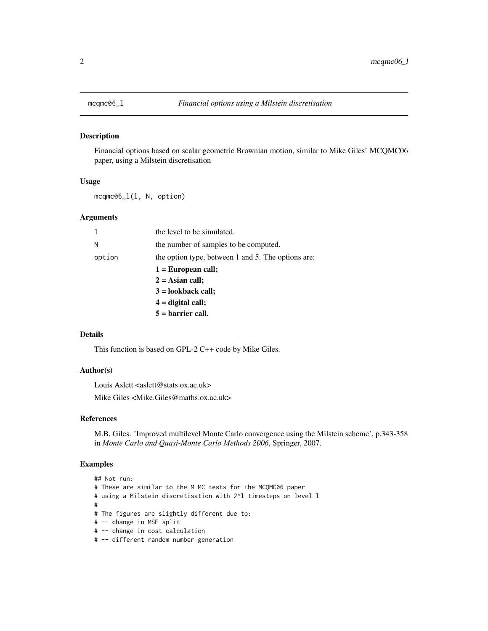<span id="page-1-0"></span>

#### Description

Financial options based on scalar geometric Brownian motion, similar to Mike Giles' MCQMC06 paper, using a Milstein discretisation

#### Usage

mcqmc06\_l(l, N, option)

#### Arguments

|        | the level to be simulated.                         |
|--------|----------------------------------------------------|
| Ν      | the number of samples to be computed.              |
| option | the option type, between 1 and 5. The options are: |
|        | $1 = European call;$                               |
|        | $2 =$ Asian call;                                  |
|        | $3 =$ lookback call;                               |
|        | $4 =$ digital call;                                |
|        | $5 =$ barrier call.                                |

#### Details

This function is based on GPL-2 C++ code by Mike Giles.

#### Author(s)

Louis Aslett <aslett@stats.ox.ac.uk>

Mike Giles <Mike.Giles@maths.ox.ac.uk>

#### References

M.B. Giles. 'Improved multilevel Monte Carlo convergence using the Milstein scheme', p.343-358 in *Monte Carlo and Quasi-Monte Carlo Methods 2006*, Springer, 2007.

```
## Not run:
# These are similar to the MLMC tests for the MCQMC06 paper
# using a Milstein discretisation with 2^l timesteps on level l
#
# The figures are slightly different due to:
# -- change in MSE split
# -- change in cost calculation
# -- different random number generation
```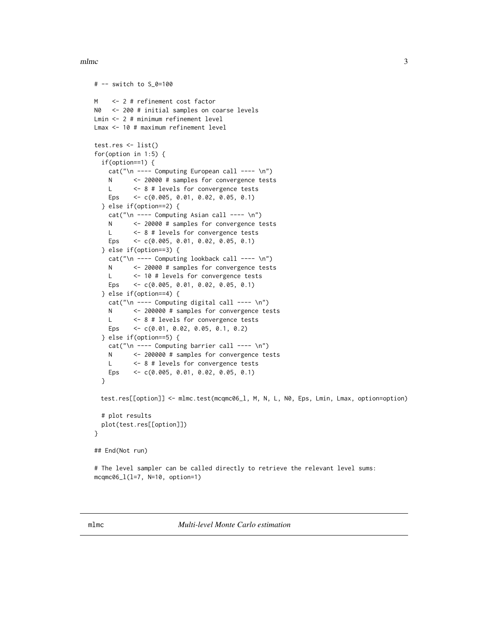#### <span id="page-2-0"></span>mlmc 3

```
# -- switch to S_0=100
M <- 2 # refinement cost factor
N0 <- 200 # initial samples on coarse levels
Lmin <- 2 # minimum refinement level
Lmax <- 10 # maximum refinement level
test.res <- list()
for(option in 1:5) {
 if(option==1) {
   cat("\n n --- Computing European call --- \n n")N <- 20000 # samples for convergence tests
   L <- 8 # levels for convergence tests
   Eps <- c(0.005, 0.01, 0.02, 0.05, 0.1)
 } else if(option==2) {
   cat("\n ---- Computing Asian call ---- \n")
   N <- 20000 # samples for convergence tests
   L <- 8 # levels for convergence tests
   Eps <- c(0.005, 0.01, 0.02, 0.05, 0.1)
 } else if(option==3) {
   cat("\n' --- Computing lookback call --- \n'')N <- 20000 # samples for convergence tests
   L <- 10 # levels for convergence tests
   Eps <- c(0.005, 0.01, 0.02, 0.05, 0.1)
 } else if(option==4) {
    cat("\n ---- Computing digital call ---- \n")
   N <- 200000 # samples for convergence tests
   L <- 8 # levels for convergence tests
   Eps <- c(0.01, 0.02, 0.05, 0.1, 0.2)
 } else if(option==5) {
   cat("\n' --- Computing barrier call --- \n'')N <- 200000 # samples for convergence tests
   L <- 8 # levels for convergence tests
   Eps <- c(0.005, 0.01, 0.02, 0.05, 0.1)
 }
 test.res[[option]] <- mlmc.test(mcqmc06_l, M, N, L, N0, Eps, Lmin, Lmax, option=option)
 # plot results
 plot(test.res[[option]])
}
## End(Not run)
# The level sampler can be called directly to retrieve the relevant level sums:
mcqmc06_l(l=7, N=10, option=1)
```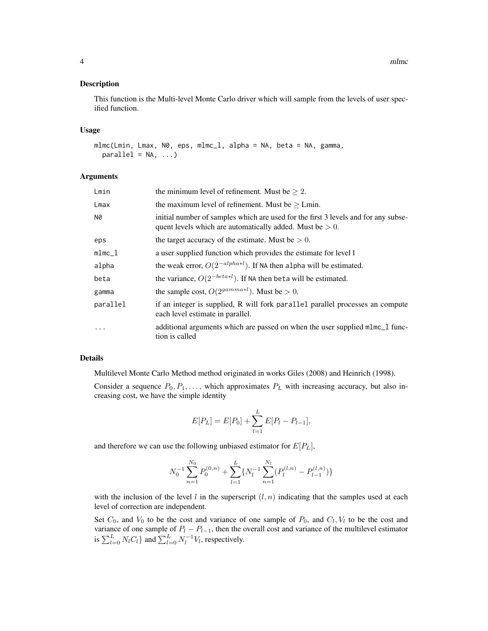4 mlmc

#### Description

This function is the Multi-level Monte Carlo driver which will sample from the levels of user specified function.

#### Usage

```
mlmc(Lmin, Lmax, N0, eps, mlmc_l, alpha = NA, beta = NA, gamma,
 parallel = NA, ...
```
#### Arguments

| Lmin      | the minimum level of refinement. Must be $\geq 2$ .                                                                                               |
|-----------|---------------------------------------------------------------------------------------------------------------------------------------------------|
| Lmax      | the maximum level of refinement. Must be $\geq$ Lmin.                                                                                             |
| N0        | initial number of samples which are used for the first 3 levels and for any subse-<br>quent levels which are automatically added. Must be $> 0$ . |
| eps       | the target accuracy of the estimate. Must be $> 0$ .                                                                                              |
| $mlmc_1$  | a user supplied function which provides the estimate for level 1                                                                                  |
| alpha     | the weak error, $O(2^{-\alpha lph\alpha+l})$ . If NA then alpha will be estimated.                                                                |
| beta      | the variance, $O(2^{-beta*l})$ . If NA then beta will be estimated.                                                                               |
| gamma     | the sample cost, $O(2^{gamma+1})$ . Must be $> 0$ .                                                                                               |
| parallel  | if an integer is supplied, R will fork parallel parallel processes an compute<br>each level estimate in parallel.                                 |
| $\ddotsc$ | additional arguments which are passed on when the user supplied mlmc_l func-<br>tion is called                                                    |

#### Details

Multilevel Monte Carlo Method method originated in works Giles (2008) and Heinrich (1998).

Consider a sequence  $P_0, P_1, \ldots$ , which approximates  $P_L$  with increasing accuracy, but also increasing cost, we have the simple identity

$$
E[P_L] = E[P_0] + \sum_{l=1}^{L} E[P_l - P_{l-1}],
$$

and therefore we can use the following unbiased estimator for  $E[P_L]$ ,

$$
N_0^{-1} \sum_{n=1}^{N_0} P_0^{(0,n)} + \sum_{l=1}^{L} \{ N_l^{-1} \sum_{n=1}^{N_l} (P_l^{(l,n)} - P_{l-1}^{(l,n)}) \}
$$

with the inclusion of the level l in the superscript  $(l, n)$  indicating that the samples used at each level of correction are independent.

Set  $C_0$ , and  $V_0$  to be the cost and variance of one sample of  $P_0$ , and  $C_l$ ,  $V_l$  to be the cost and variance of one sample of  $P_l - P_{l-1}$ , then the overall cost and variance of the multilevel estimator is  $\sum_{l=0}^{L} N_l C_l$  and  $\sum_{l=0}^{L} N_l^{-1} V_l$ , respectively.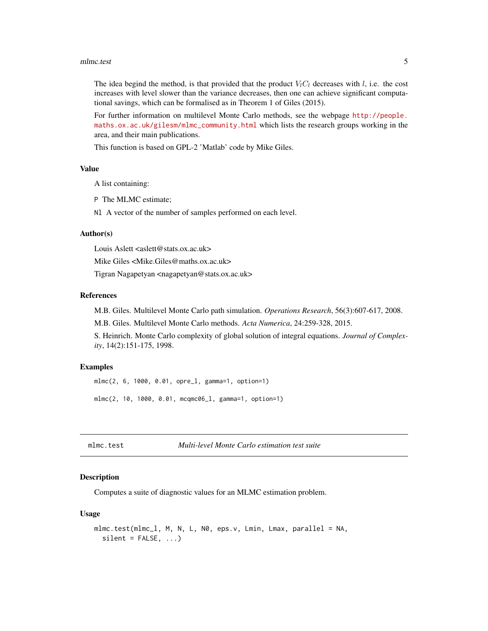#### <span id="page-4-0"></span>mlmc.test 5

The idea begind the method, is that provided that the product  $V_lC_l$  decreases with l, i.e. the cost increases with level slower than the variance decreases, then one can achieve significant computational savings, which can be formalised as in Theorem 1 of Giles (2015).

For further information on multilevel Monte Carlo methods, see the webpage [http://people.](http://people.maths.ox.ac.uk/gilesm/mlmc_community.html) [maths.ox.ac.uk/gilesm/mlmc\\_community.html](http://people.maths.ox.ac.uk/gilesm/mlmc_community.html) which lists the research groups working in the area, and their main publications.

This function is based on GPL-2 'Matlab' code by Mike Giles.

#### Value

A list containing:

P The MLMC estimate;

Nl A vector of the number of samples performed on each level.

#### Author(s)

Louis Aslett  $\langle$ aslett@stats.ox.ac.uk>

Mike Giles <Mike.Giles@maths.ox.ac.uk>

Tigran Nagapetyan <nagapetyan@stats.ox.ac.uk>

#### References

M.B. Giles. Multilevel Monte Carlo path simulation. *Operations Research*, 56(3):607-617, 2008.

M.B. Giles. Multilevel Monte Carlo methods. *Acta Numerica*, 24:259-328, 2015.

S. Heinrich. Monte Carlo complexity of global solution of integral equations. *Journal of Complexity*, 14(2):151-175, 1998.

#### Examples

mlmc(2, 6, 1000, 0.01, opre\_l, gamma=1, option=1) mlmc(2, 10, 1000, 0.01, mcqmc06\_l, gamma=1, option=1)

<span id="page-4-1"></span>

mlmc.test *Multi-level Monte Carlo estimation test suite*

#### Description

Computes a suite of diagnostic values for an MLMC estimation problem.

#### Usage

```
mlmc.test(mlmc_l, M, N, L, N0, eps.v, Lmin, Lmax, parallel = NA,
  silent = FALSE, ...)
```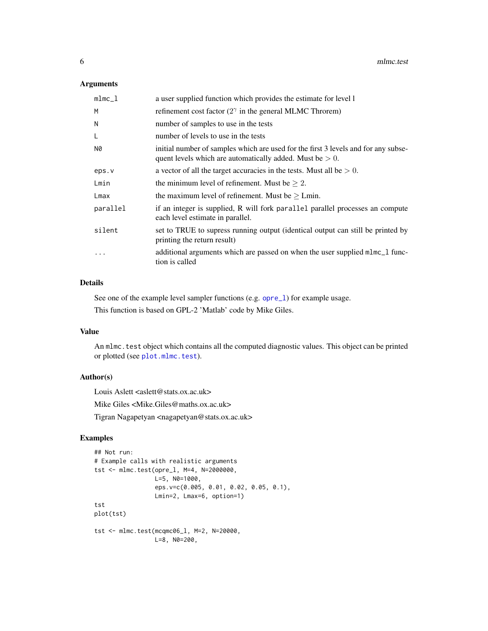#### <span id="page-5-0"></span>Arguments

| $mlmc_1$  | a user supplied function which provides the estimate for level 1                                                                                  |
|-----------|---------------------------------------------------------------------------------------------------------------------------------------------------|
| M         | refinement cost factor $(2^{\gamma}$ in the general MLMC Throrem)                                                                                 |
| N         | number of samples to use in the tests                                                                                                             |
| L         | number of levels to use in the tests                                                                                                              |
| N0        | initial number of samples which are used for the first 3 levels and for any subse-<br>quent levels which are automatically added. Must be $> 0$ . |
| eps.v     | a vector of all the target accuracies in the tests. Must all be $> 0$ .                                                                           |
| Lmin      | the minimum level of refinement. Must be $\geq 2$ .                                                                                               |
| Lmax      | the maximum level of refinement. Must be $\geq$ Lmin.                                                                                             |
| parallel  | if an integer is supplied, R will fork parallel parallel processes an compute<br>each level estimate in parallel.                                 |
| silent    | set to TRUE to supress running output (identical output can still be printed by<br>printing the return result)                                    |
| $\ddotsc$ | additional arguments which are passed on when the user supplied mlmc_l func-<br>tion is called                                                    |

#### Details

See one of the example level sampler functions (e.g. opre\_1) for example usage.

This function is based on GPL-2 'Matlab' code by Mike Giles.

#### Value

An mlmc.test object which contains all the computed diagnostic values. This object can be printed or plotted (see [plot.mlmc.test](#page-8-1)).

#### Author(s)

Louis Aslett <aslett@stats.ox.ac.uk>

Mike Giles <Mike.Giles@maths.ox.ac.uk>

Tigran Nagapetyan <nagapetyan@stats.ox.ac.uk>

```
## Not run:
# Example calls with realistic arguments
tst <- mlmc.test(opre_l, M=4, N=2000000,
                L=5, N0=1000,
                 eps.v=c(0.005, 0.01, 0.02, 0.05, 0.1),
                 Lmin=2, Lmax=6, option=1)
tst
plot(tst)
tst <- mlmc.test(mcqmc06_l, M=2, N=20000,
                L=8, N0=200,
```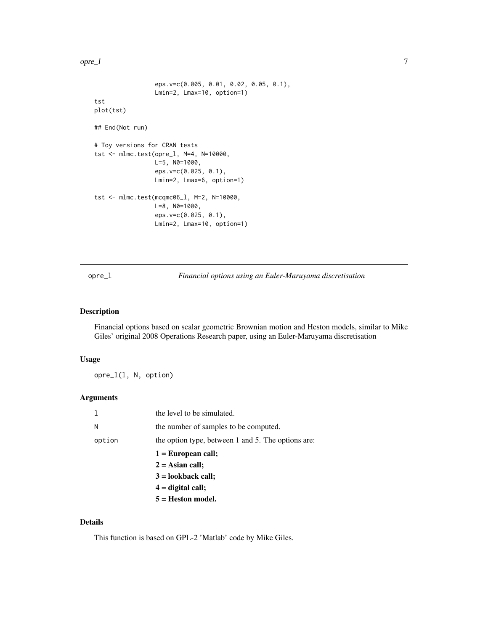<span id="page-6-0"></span>opre\_l 7

```
eps.v=c(0.005, 0.01, 0.02, 0.05, 0.1),
                 Lmin=2, Lmax=10, option=1)
tst
plot(tst)
## End(Not run)
# Toy versions for CRAN tests
tst <- mlmc.test(opre_l, M=4, N=10000,
                 L=5, N0=1000,
                 eps.v=c(0.025, 0.1),
                 Lmin=2, Lmax=6, option=1)
tst <- mlmc.test(mcqmc06_l, M=2, N=10000,
                 L=8, N0=1000,
                 eps.v=c(0.025, 0.1),
                 Lmin=2, Lmax=10, option=1)
```
<span id="page-6-1"></span>opre\_l *Financial options using an Euler-Maruyama discretisation*

#### Description

Financial options based on scalar geometric Brownian motion and Heston models, similar to Mike Giles' original 2008 Operations Research paper, using an Euler-Maruyama discretisation

#### Usage

opre\_l(l, N, option)

#### Arguments

|        | the level to be simulated.                         |
|--------|----------------------------------------------------|
| Ν      | the number of samples to be computed.              |
| option | the option type, between 1 and 5. The options are: |
|        | $1 = European call;$                               |
|        | $2 =$ Asian call;                                  |
|        | $3 =$ lookback call;                               |
|        | $4 =$ digital call;                                |
|        | $5 =$ Heston model.                                |

#### Details

This function is based on GPL-2 'Matlab' code by Mike Giles.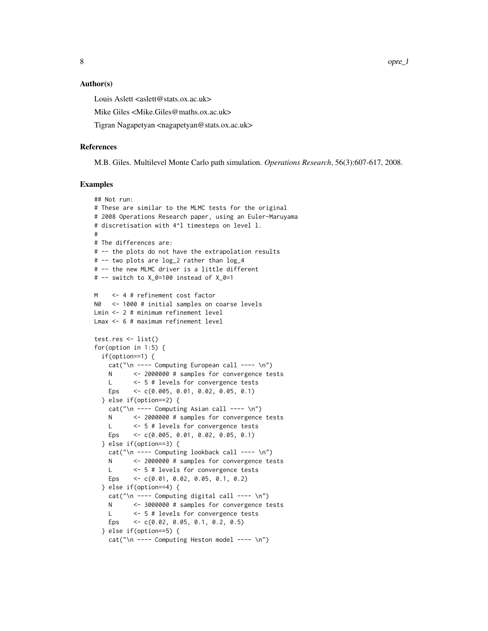8 opre\_l

#### Author(s)

Louis Aslett <aslett@stats.ox.ac.uk>

Mike Giles <Mike.Giles@maths.ox.ac.uk>

Tigran Nagapetyan <nagapetyan@stats.ox.ac.uk>

#### References

M.B. Giles. Multilevel Monte Carlo path simulation. *Operations Research*, 56(3):607-617, 2008.

```
## Not run:
# These are similar to the MLMC tests for the original
# 2008 Operations Research paper, using an Euler-Maruyama
# discretisation with 4^l timesteps on level l.
#
# The differences are:
# -- the plots do not have the extrapolation results
# -- two plots are log_2 rather than log_4
# -- the new MLMC driver is a little different
# -- switch to X_0=100 instead of X_0=1
M <- 4 # refinement cost factor
N0 <- 1000 # initial samples on coarse levels
Lmin <- 2 # minimum refinement level
Lmax <- 6 # maximum refinement level
test.res <- list()
for(option in 1:5) {
 if(option==1) {
   cat("\n ---- Computing European call ---- \n")
   N <- 2000000 # samples for convergence tests
   L <- 5 # levels for convergence tests
   Eps <- c(0.005, 0.01, 0.02, 0.05, 0.1)
 } else if(option==2) {
   cat("\n'~-- Computing Asian call ----\n'~')N <- 2000000 # samples for convergence tests
   L <- 5 # levels for convergence tests
   Eps <- c(0.005, 0.01, 0.02, 0.05, 0.1)
 } else if(option==3) {
   cat("\n' --- Computing lookback call --- \n'')N <- 2000000 # samples for convergence tests
   L <- 5 # levels for convergence tests
   Eps <- c(0.01, 0.02, 0.05, 0.1, 0.2)
 } else if(option==4) {
    cat("\n ---- Computing digital call ---- \n")
   N <- 3000000 # samples for convergence tests
   L <- 5 # levels for convergence tests
   Eps <- c(0.02, 0.05, 0.1, 0.2, 0.5)
 } else if(option==5) {
   cat("\n ---- Computing Heston model ---- \n")
```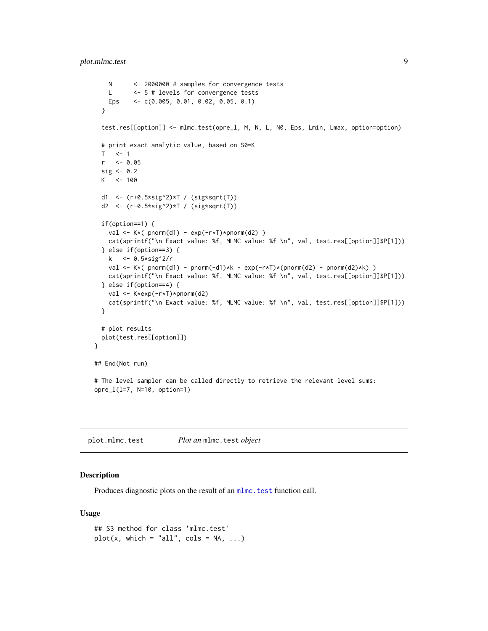```
N <- 2000000 # samples for convergence tests
   L <- 5 # levels for convergence tests
   Eps <- c(0.005, 0.01, 0.02, 0.05, 0.1)
 }
 test.res[[option]] <- mlmc.test(opre_l, M, N, L, N0, Eps, Lmin, Lmax, option=option)
 # print exact analytic value, based on S0=K
 T \leq -1r <- 0.05
 sig <-0.2K < -100d1 <- (r+0.5*sig^2)*T / (sig*sqrt(T))
 d2 <- (r-0.5*sig^2)*T / (sig*sqrt(T))
 if(option==1) {
   val <- K*( pnorm(d1) - exp(-r*T)*pnorm(d2) )
   cat(sprintf("\n Exact value: %f, MLMC value: %f \n", val, test.res[[option]]$P[1]))
 } else if(option==3) {
   k <- 0.5*sig^2/r
   val <- K*( pnorm(d1) - pnorm(-d1)*k - exp(-r*T)*(pnorm(d2) - pnorm(d2)*k) )
   cat(sprintf("\n Exact value: %f, MLMC value: %f \n", val, test.res[[option]]$P[1]))
 } else if(option==4) {
   val <- K*exp(-r*T)*pnorm(d2)
   cat(sprintf("\n Exact value: %f, MLMC value: %f \n", val, test.res[[option]]$P[1]))
 }
 # plot results
 plot(test.res[[option]])
}
## End(Not run)
# The level sampler can be called directly to retrieve the relevant level sums:
opre_l(l=7, N=10, option=1)
```
<span id="page-8-1"></span>plot.mlmc.test *Plot an* mlmc.test *object*

#### Description

Produces diagnostic plots on the result of an mlmc. test function call.

#### Usage

```
## S3 method for class 'mlmc.test'
plot(x, which = "all", cols = NA, ...)
```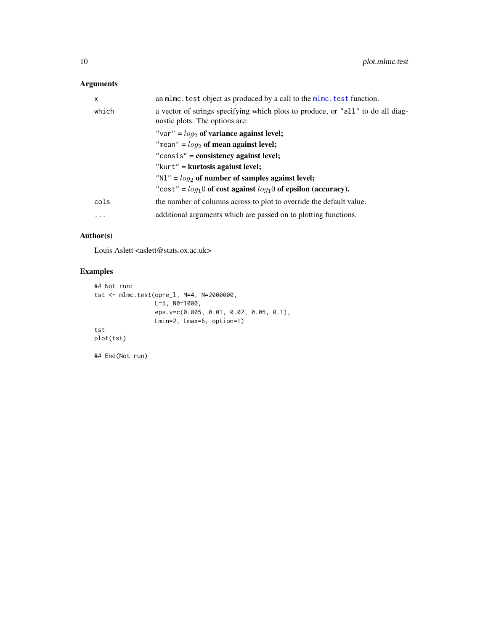#### <span id="page-9-0"></span>Arguments

| X     | an mlmc. test object as produced by a call to the mlmc. test function.                                            |
|-------|-------------------------------------------------------------------------------------------------------------------|
| which | a vector of strings specifying which plots to produce, or "all" to do all diag-<br>nostic plots. The options are: |
|       | "var" = $log_2$ of variance against level;                                                                        |
|       | "mean" = $log_2$ of mean against level;                                                                           |
|       | " $consis$ " = consistency against level;                                                                         |
|       | " $kurt$ " = $kurtosis$ against level;                                                                            |
|       | "N1" = $log_2$ of number of samples against level;                                                                |
|       | "cost" = $log_1 0$ of cost against $log_1 0$ of epsilon (accuracy).                                               |
| cols  | the number of columns across to plot to override the default value.                                               |
| .     | additional arguments which are passed on to plotting functions.                                                   |

#### Author(s)

Louis Aslett <aslett@stats.ox.ac.uk>

```
## Not run:
tst <- mlmc.test(opre_l, M=4, N=2000000,
                 L=5, N0=1000,
                 eps.v=c(0.005, 0.01, 0.02, 0.05, 0.1),
                Lmin=2, Lmax=6, option=1)
tst
plot(tst)
## End(Not run)
```